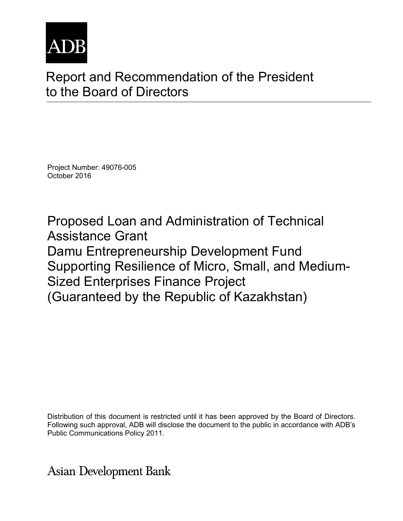

# Report and Recommendation of the President to the Board of Directors

Project Number: 49076-005 October 2016

Proposed Loan and Administration of Technical Assistance Grant Damu Entrepreneurship Development Fund Supporting Resilience of Micro, Small, and Medium-Sized Enterprises Finance Project (Guaranteed by the Republic of Kazakhstan)

Distribution of this document is restricted until it has been approved by the Board of Directors. Following such approval, ADB will disclose the document to the public in accordance with ADB's Public Communications Policy 2011.

**Asian Development Bank**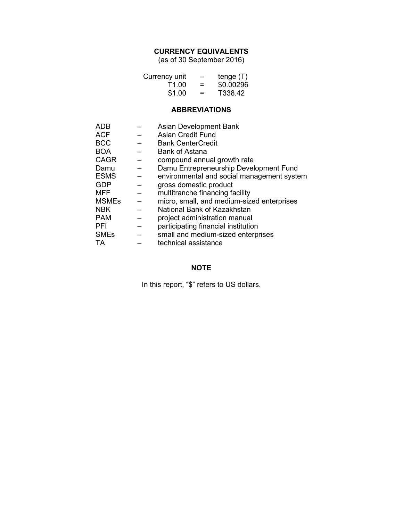# **CURRENCY EQUIVALENTS**

(as of 30 September 2016)

| Currency unit | $\overline{\phantom{0}}$ | tenge $(T)$ |
|---------------|--------------------------|-------------|
| T1.00         | =                        | \$0.00296   |
| \$1.00        | $\equiv$                 | T338.42     |

## **ABBREVIATIONS**

| <b>ADB</b>   | Asian Development Bank                     |
|--------------|--------------------------------------------|
| <b>ACF</b>   | Asian Credit Fund                          |
| <b>BCC</b>   | <b>Bank CenterCredit</b>                   |
| <b>BOA</b>   | <b>Bank of Astana</b>                      |
| <b>CAGR</b>  | compound annual growth rate                |
| Damu         | Damu Entrepreneurship Development Fund     |
| <b>ESMS</b>  | environmental and social management system |
| <b>GDP</b>   | gross domestic product                     |
| <b>MFF</b>   | multitranche financing facility            |
| <b>MSMEs</b> | micro, small, and medium-sized enterprises |
| <b>NBK</b>   | National Bank of Kazakhstan                |
| <b>PAM</b>   | project administration manual              |
| <b>PFI</b>   | participating financial institution        |
| <b>SMEs</b>  | small and medium-sized enterprises         |
| TА           | technical assistance                       |

# **NOTE**

In this report, "\$" refers to US dollars.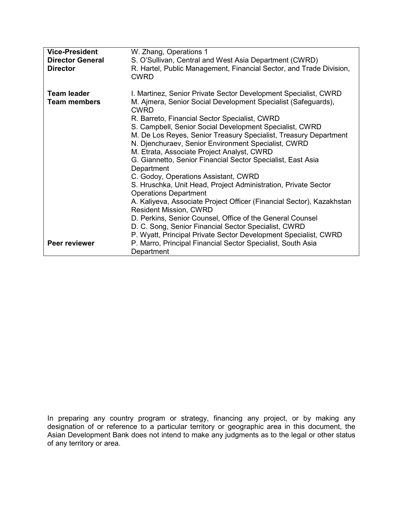| <b>Vice-President</b><br><b>Director General</b><br><b>Director</b> | W. Zhang, Operations 1<br>S. O'Sullivan, Central and West Asia Department (CWRD)<br>R. Hartel, Public Management, Financial Sector, and Trade Division,<br><b>CWRD</b>                                                                                                                                                                                                                                                                                                                                                                                                                                                                                                                                                                                                                                                                                                                                                                                 |
|---------------------------------------------------------------------|--------------------------------------------------------------------------------------------------------------------------------------------------------------------------------------------------------------------------------------------------------------------------------------------------------------------------------------------------------------------------------------------------------------------------------------------------------------------------------------------------------------------------------------------------------------------------------------------------------------------------------------------------------------------------------------------------------------------------------------------------------------------------------------------------------------------------------------------------------------------------------------------------------------------------------------------------------|
| <b>Team leader</b><br><b>Team members</b>                           | I. Martinez, Senior Private Sector Development Specialist, CWRD<br>M. Ajmera, Senior Social Development Specialist (Safeguards),<br>CWRD<br>R. Barreto, Financial Sector Specialist, CWRD<br>S. Campbell, Senior Social Development Specialist, CWRD<br>M. De Los Reyes, Senior Treasury Specialist, Treasury Department<br>N. Djenchuraev, Senior Environment Specialist, CWRD<br>M. Etrata, Associate Project Analyst, CWRD<br>G. Giannetto, Senior Financial Sector Specialist, East Asia<br>Department<br>C. Godoy, Operations Assistant, CWRD<br>S. Hruschka, Unit Head, Project Administration, Private Sector<br><b>Operations Department</b><br>A. Kaliyeva, Associate Project Officer (Financial Sector), Kazakhstan<br><b>Resident Mission, CWRD</b><br>D. Perkins, Senior Counsel, Office of the General Counsel<br>D. C. Song, Senior Financial Sector Specialist, CWRD<br>P. Wyatt, Principal Private Sector Development Specialist, CWRD |
| Peer reviewer                                                       | P. Marro, Principal Financial Sector Specialist, South Asia<br>Department                                                                                                                                                                                                                                                                                                                                                                                                                                                                                                                                                                                                                                                                                                                                                                                                                                                                              |

In preparing any country program or strategy, financing any project, or by making any designation of or reference to a particular territory or geographic area in this document, the Asian Development Bank does not intend to make any judgments as to the legal or other status of any territory or area.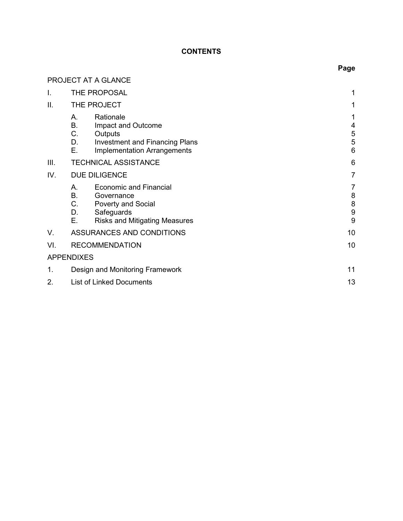# **CONTENTS**

|      |                                   | PROJECT AT A GLANCE                                                                                                       |                       |
|------|-----------------------------------|---------------------------------------------------------------------------------------------------------------------------|-----------------------|
|      |                                   | THE PROPOSAL                                                                                                              | 1                     |
| II.  |                                   | THE PROJECT                                                                                                               | 1                     |
|      | А.<br><b>B.</b><br>C.<br>D.<br>Ε. | Rationale<br>Impact and Outcome<br>Outputs<br><b>Investment and Financing Plans</b><br><b>Implementation Arrangements</b> | 1<br>4<br>5<br>5<br>6 |
| III. |                                   | <b>TECHNICAL ASSISTANCE</b>                                                                                               | 6                     |
| IV.  | <b>DUE DILIGENCE</b>              |                                                                                                                           | 7                     |
|      | А.<br><b>B.</b><br>C.<br>D.<br>Ε. | <b>Economic and Financial</b><br>Governance<br>Poverty and Social<br>Safeguards<br><b>Risks and Mitigating Measures</b>   | 7<br>8<br>8<br>9<br>9 |
| V.   |                                   | ASSURANCES AND CONDITIONS                                                                                                 | 10                    |
| VI.  |                                   | <b>RECOMMENDATION</b>                                                                                                     | 10                    |
|      | <b>APPENDIXES</b>                 |                                                                                                                           |                       |
| 1.   |                                   | Design and Monitoring Framework                                                                                           | 11                    |
| 2.   | <b>List of Linked Documents</b>   |                                                                                                                           | 13                    |

# **Page**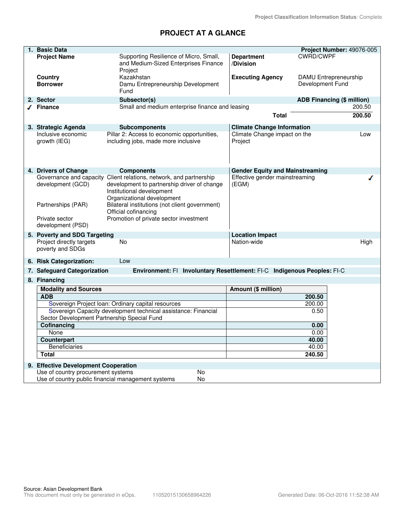# **PROJECT AT A GLANCE**

| 1. Basic Data                                                  |                                                                                                                                                                              |                                         |                  | Project Number: 49076-005         |
|----------------------------------------------------------------|------------------------------------------------------------------------------------------------------------------------------------------------------------------------------|-----------------------------------------|------------------|-----------------------------------|
| <b>Project Name</b>                                            | Supporting Resilience of Micro, Small,<br>and Medium-Sized Enterprises Finance<br>Project                                                                                    | <b>Department</b><br>/Division          | <b>CWRD/CWPF</b> |                                   |
| Country<br><b>Borrower</b>                                     | Kazakhstan<br>Damu Entrepreneurship Development<br>Fund                                                                                                                      | <b>Executing Agency</b>                 | Development Fund | DAMU Entrepreneurship             |
| 2. Sector                                                      | Subsector(s)                                                                                                                                                                 |                                         |                  | <b>ADB Financing (\$ million)</b> |
| √ Finance                                                      | Small and medium enterprise finance and leasing                                                                                                                              | <b>Total</b>                            |                  | 200.50<br>200.50                  |
| 3. Strategic Agenda                                            | <b>Subcomponents</b>                                                                                                                                                         | <b>Climate Change Information</b>       |                  |                                   |
| Inclusive economic<br>growth (IEG)                             | Pillar 2: Access to economic opportunities,<br>including jobs, made more inclusive                                                                                           | Climate Change impact on the<br>Project |                  | Low                               |
| 4. Drivers of Change                                           | <b>Components</b>                                                                                                                                                            | <b>Gender Equity and Mainstreaming</b>  |                  |                                   |
| development (GCD)                                              | Governance and capacity Client relations, network, and partnership<br>development to partnership driver of change<br>Institutional development<br>Organizational development | Effective gender mainstreaming<br>(EGM) |                  |                                   |
| Partnerships (PAR)                                             | Bilateral institutions (not client government)<br>Official cofinancing                                                                                                       |                                         |                  |                                   |
| Private sector<br>development (PSD)                            | Promotion of private sector investment                                                                                                                                       |                                         |                  |                                   |
| 5. Poverty and SDG Targeting                                   |                                                                                                                                                                              | <b>Location Impact</b>                  |                  |                                   |
| Project directly targets<br>poverty and SDGs                   | <b>No</b>                                                                                                                                                                    | Nation-wide                             |                  | High                              |
| 6. Risk Categorization:                                        | Low                                                                                                                                                                          |                                         |                  |                                   |
| 7. Safeguard Categorization                                    | Environment: FI Involuntary Resettlement: FI-C Indigenous Peoples: FI-C                                                                                                      |                                         |                  |                                   |
| 8. Financing                                                   |                                                                                                                                                                              |                                         |                  |                                   |
| <b>Modality and Sources</b>                                    |                                                                                                                                                                              | Amount (\$ million)                     |                  |                                   |
| <b>ADB</b>                                                     |                                                                                                                                                                              |                                         | 200.50           |                                   |
| Sovereign Project Ioan: Ordinary capital resources             |                                                                                                                                                                              | 200.00                                  |                  |                                   |
| Sovereign Capacity development technical assistance: Financial |                                                                                                                                                                              |                                         | 0.50             |                                   |
| Sector Development Partnership Special Fund                    |                                                                                                                                                                              |                                         |                  |                                   |
| Cofinancing<br>None                                            |                                                                                                                                                                              | 0.00<br>0.00                            |                  |                                   |
| Counterpart                                                    |                                                                                                                                                                              |                                         | 40.00            |                                   |
| <b>Beneficiaries</b>                                           |                                                                                                                                                                              |                                         | 40.00            |                                   |
| <b>Total</b>                                                   |                                                                                                                                                                              |                                         | 240.50           |                                   |
| 9. Effective Development Cooperation                           |                                                                                                                                                                              |                                         |                  |                                   |
| Use of country procurement systems                             | No                                                                                                                                                                           |                                         |                  |                                   |
|                                                                | Use of country public financial management systems<br>No                                                                                                                     |                                         |                  |                                   |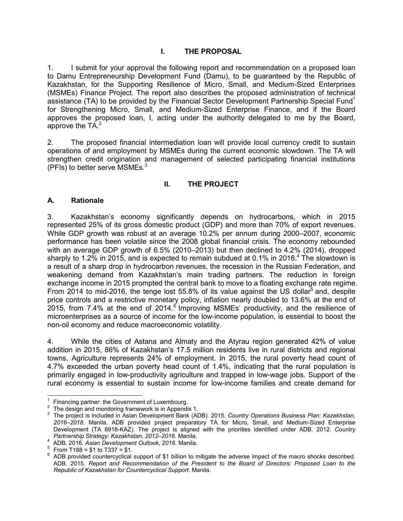## **I. THE PROPOSAL**

1. I submit for your approval the following report and recommendation on a proposed loan to Damu Entrepreneurship Development Fund (Damu), to be guaranteed by the Republic of Kazakhstan, for the Supporting Resilience of Micro, Small, and Medium-Sized Enterprises (MSMEs) Finance Project. The report also describes the proposed administration of technical assistance (TA) to be provided by the Financial Sector Development Partnership Special Fund<sup>1</sup> for Strengthening Micro, Small, and Medium-Sized Enterprise Finance, and if the Board approves the proposed loan, I, acting under the authority delegated to me by the Board, approve the  $TA.^2$ 

2. The proposed financial intermediation loan will provide local currency credit to sustain operations of and employment by MSMEs during the current economic slowdown. The TA will strengthen credit origination and management of selected participating financial institutions (PFIs) to better serve MSMEs. $3$ 

## **II. THE PROJECT**

#### **A. Rationale**

3. Kazakhstan's economy significantly depends on hydrocarbons, which in 2015 represented 25% of its gross domestic product (GDP) and more than 70% of export revenues. While GDP growth was robust at an average 10.2% per annum during 2000–2007, economic performance has been volatile since the 2008 global financial crisis. The economy rebounded with an average GDP growth of 6.5% (2010–2013) but then declined to 4.2% (2014), dropped sharply to 1.2% in 2015, and is expected to remain subdued at 0.1% in 2016.<sup>4</sup> The slowdown is a result of a sharp drop in hydrocarbon revenues, the recession in the Russian Federation, and weakening demand from Kazakhstan's main trading partners. The reduction in foreign exchange income in 2015 prompted the central bank to move to a floating exchange rate regime. From 2014 to mid-2016, the tenge lost 55.8% of its value against the US dollar $^5$  and, despite price controls and a restrictive monetary policy, inflation nearly doubled to 13.6% at the end of 2015, from 7.4% at the end of 2014.<sup>6</sup> Improving MSMEs' productivity, and the resilience of microenterprises as a source of income for the low-income population, is essential to boost the non-oil economy and reduce macroeconomic volatility.

4. While the cities of Astana and Almaty and the Atyrau region generated 42% of value addition in 2015, 86% of Kazakhstan's 17.5 million residents live in rural districts and regional towns. Agriculture represents 24% of employment. In 2015, the rural poverty head count of 4.7% exceeded the urban poverty head count of 1.4%, indicating that the rural population is primarily engaged in low-productivity agriculture and trapped in low-wage jobs. Support of the rural economy is essential to sustain income for low-income families and create demand for

 1 Financing partner: the Government of Luxembourg.

 $2^2$  The design and monitoring framework is in Appendix 1.

<sup>3</sup> The project is included in Asian Development Bank (ADB). 2015. *Country Operations Business Plan: Kazakhstan, 2016–2018.* Manila. ADB provided project preparatory TA for Micro, Small, and Medium-Sized Enterprise Development (TA 8918-KAZ). The project is aligned with the priorities identified under ADB. 2012. *Country Partnership Strategy: Kazakhstan, 2012–2016*. Manila.

<sup>4</sup> ADB. 2016. *Asian Development Outlook, 2016*. Manila.

 $^{5}$  From T188 = \$1 to T337 = \$1.

<sup>6</sup> ADB provided countercyclical support of \$1 billion to mitigate the adverse impact of the macro shocks described. ADB. 2015. *Report and Recommendation of the President to the Board of Directors: Proposed Loan to the Republic of Kazakhstan for Countercyclical Support.* Manila.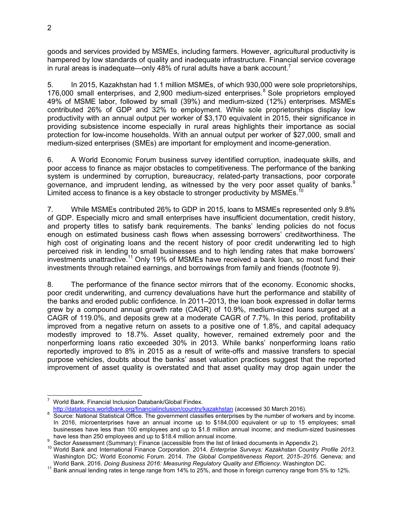goods and services provided by MSMEs, including farmers. However, agricultural productivity is hampered by low standards of quality and inadequate infrastructure. Financial service coverage in rural areas is inadequate—only 48% of rural adults have a bank account.<sup>7</sup>

5. In 2015, Kazakhstan had 1.1 million MSMEs, of which 930,000 were sole proprietorships, 176,000 small enterprises, and 2,900 medium-sized enterprises. $8$  Sole proprietors employed 49% of MSME labor, followed by small (39%) and medium-sized (12%) enterprises. MSMEs contributed 26% of GDP and 32% to employment. While sole proprietorships display low productivity with an annual output per worker of \$3,170 equivalent in 2015, their significance in providing subsistence income especially in rural areas highlights their importance as social protection for low-income households. With an annual output per worker of \$27,000, small and medium-sized enterprises (SMEs) are important for employment and income-generation.

6. A World Economic Forum business survey identified corruption, inadequate skills, and poor access to finance as major obstacles to competitiveness. The performance of the banking system is undermined by corruption, bureaucracy, related-party transactions, poor corporate governance, and imprudent lending, as witnessed by the very poor asset quality of banks.<sup>9</sup> Limited access to finance is a key obstacle to stronger productivity by MSMEs.<sup>10</sup>

7. While MSMEs contributed 26% to GDP in 2015, loans to MSMEs represented only 9.8% of GDP. Especially micro and small enterprises have insufficient documentation, credit history, and property titles to satisfy bank requirements. The banks' lending policies do not focus enough on estimated business cash flows when assessing borrowers' creditworthiness. The high cost of originating loans and the recent history of poor credit underwriting led to high perceived risk in lending to small businesses and to high lending rates that make borrowers' investments unattractive.<sup>11</sup> Only 19% of MSMEs have received a bank loan, so most fund their investments through retained earnings, and borrowings from family and friends (footnote 9).

8. The performance of the finance sector mirrors that of the economy. Economic shocks, poor credit underwriting, and currency devaluations have hurt the performance and stability of the banks and eroded public confidence. In 2011–2013, the loan book expressed in dollar terms grew by a compound annual growth rate (CAGR) of 10.9%, medium-sized loans surged at a CAGR of 119.0%, and deposits grew at a moderate CAGR of 7.7%. In this period, profitability improved from a negative return on assets to a positive one of 1.8%, and capital adequacy modestly improved to 18.7%. Asset quality, however, remained extremely poor and the nonperforming loans ratio exceeded 30% in 2013. While banks' nonperforming loans ratio reportedly improved to 8% in 2015 as a result of write-offs and massive transfers to special purpose vehicles, doubts about the banks' asset valuation practices suggest that the reported improvement of asset quality is overstated and that asset quality may drop again under the

 $\overline{a}$ 7 World Bank. Financial Inclusion Databank/Global Findex.

http://datatopics.worldbank.org/financialinclusion/country/kazakhstan (accessed 30 March 2016).

<sup>&</sup>lt;sup>8</sup> Source: National Statistical Office. The government classifies enterprises by the number of workers and by income. In 2016, microenterprises have an annual income up to \$184,000 equivalent or up to 15 employees; small businesses have less than 100 employees and up to \$1.8 million annual income; and medium-sized businesses have less than 250 employees and up to \$18.4 million annual income.

<sup>9</sup> Sector Assessment (Summary): Finance (accessible from the list of linked documents in Appendix 2).

<sup>10</sup> World Bank and International Finance Corporation. 2014. *Enterprise Surveys: Kazakhstan Country Profile 2013.*  Washington DC*;* World Economic Forum. 2014. *The Global Competitiveness Report, 2015–2016.* Geneva; and World Bank. 2016. *Doing Business 2016: Measuring Regulatory Quality and Efficiency.* Washington DC.

<sup>&</sup>lt;sup>11</sup> Bank annual lending rates in tenge range from 14% to 25%, and those in foreign currency range from 5% to 12%.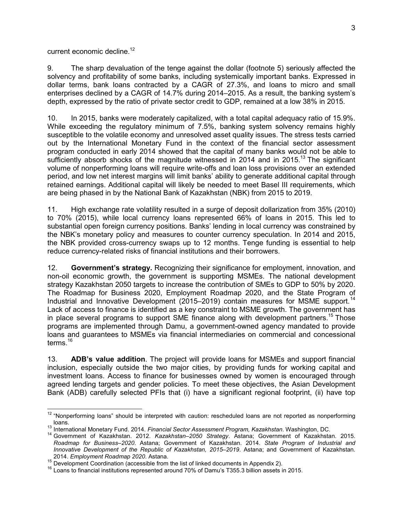current economic decline.<sup>12</sup>

9. The sharp devaluation of the tenge against the dollar (footnote 5) seriously affected the solvency and profitability of some banks, including systemically important banks. Expressed in dollar terms, bank loans contracted by a CAGR of 27.3%, and loans to micro and small enterprises declined by a CAGR of 14.7% during 2014–2015. As a result, the banking system's depth, expressed by the ratio of private sector credit to GDP, remained at a low 38% in 2015.

10. In 2015, banks were moderately capitalized, with a total capital adequacy ratio of 15.9%. While exceeding the regulatory minimum of 7.5%, banking system solvency remains highly susceptible to the volatile economy and unresolved asset quality issues. The stress tests carried out by the International Monetary Fund in the context of the financial sector assessment program conducted in early 2014 showed that the capital of many banks would not be able to sufficiently absorb shocks of the magnitude witnessed in 2014 and in 2015.<sup>13</sup> The significant volume of nonperforming loans will require write-offs and loan loss provisions over an extended period, and low net interest margins will limit banks' ability to generate additional capital through retained earnings. Additional capital will likely be needed to meet Basel III requirements, which are being phased in by the National Bank of Kazakhstan (NBK) from 2015 to 2019.

11. High exchange rate volatility resulted in a surge of deposit dollarization from 35% (2010) to 70% (2015), while local currency loans represented 66% of loans in 2015. This led to substantial open foreign currency positions. Banks' lending in local currency was constrained by the NBK's monetary policy and measures to counter currency speculation. In 2014 and 2015, the NBK provided cross-currency swaps up to 12 months. Tenge funding is essential to help reduce currency-related risks of financial institutions and their borrowers.

12. **Government's strategy.** Recognizing their significance for employment, innovation, and non-oil economic growth, the government is supporting MSMEs. The national development strategy Kazakhstan 2050 targets to increase the contribution of SMEs to GDP to 50% by 2020. The Roadmap for Business 2020, Employment Roadmap 2020, and the State Program of Industrial and Innovative Development (2015–2019) contain measures for MSME support.<sup>14</sup> Lack of access to finance is identified as a key constraint to MSME growth. The government has in place several programs to support SME finance along with development partners.<sup>15</sup> Those programs are implemented through Damu, a government-owned agency mandated to provide loans and guarantees to MSMEs via financial intermediaries on commercial and concessional terms.<sup>16</sup>

13. **ADB's value addition**. The project will provide loans for MSMEs and support financial inclusion, especially outside the two major cities, by providing funds for working capital and investment loans. Access to finance for businesses owned by women is encouraged through agreed lending targets and gender policies. To meet these objectives, the Asian Development Bank (ADB) carefully selected PFIs that (i) have a significant regional footprint, (ii) have top

 $\frac{1}{2}$  $12$  "Nonperforming loans" should be interpreted with caution: rescheduled loans are not reported as nonperforming

loans. <sup>13</sup> International Monetary Fund. 2014. *Financial Sector Assessment Program, Kazakhstan*. Washington, DC.

<sup>14</sup> Government of Kazakhstan. 2012. *Kazakhstan–2050 Strategy*. Astana; Government of Kazakhstan. 2015. *Roadmap for Business–2020*. Astana; Government of Kazakhstan. 2014. *State Program of Industrial and Innovative Development of the Republic of Kazakhstan, 2015–2019*. Astana; and Government of Kazakhstan. 2014. *Employment Roadmap 2020*. Astana.

<sup>&</sup>lt;sup>15</sup> Development Coordination (accessible from the list of linked documents in Appendix 2).

<sup>&</sup>lt;sup>16</sup> Loans to financial institutions represented around 70% of Damu's T355.3 billion assets in 2015.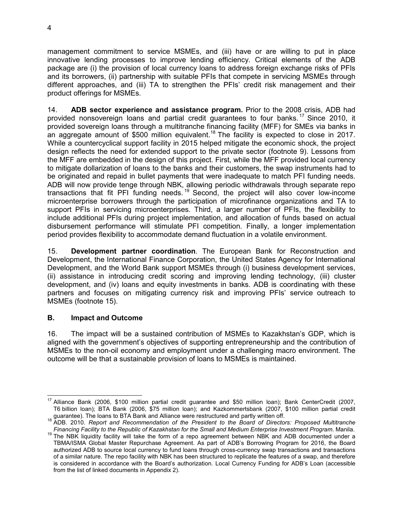management commitment to service MSMEs, and (iii) have or are willing to put in place innovative lending processes to improve lending efficiency. Critical elements of the ADB package are (i) the provision of local currency loans to address foreign exchange risks of PFIs and its borrowers, (ii) partnership with suitable PFIs that compete in servicing MSMEs through different approaches, and (iii) TA to strengthen the PFIs' credit risk management and their product offerings for MSMEs.

14. **ADB sector experience and assistance program.** Prior to the 2008 crisis, ADB had provided nonsovereign loans and partial credit guarantees to four banks.<sup>17</sup> Since 2010, it provided sovereign loans through a multitranche financing facility (MFF) for SMEs via banks in an aggregate amount of  $$500$  million equivalent.<sup>18</sup> The facility is expected to close in 2017. While a countercyclical support facility in 2015 helped mitigate the economic shock, the project design reflects the need for extended support to the private sector (footnote 9). Lessons from the MFF are embedded in the design of this project. First, while the MFF provided local currency to mitigate dollarization of loans to the banks and their customers, the swap instruments had to be originated and repaid in bullet payments that were inadequate to match PFI funding needs. ADB will now provide tenge through NBK, allowing periodic withdrawals through separate repo transactions that fit PFI funding needs. <sup>19</sup> Second, the project will also cover low-income microenterprise borrowers through the participation of microfinance organizations and TA to support PFIs in servicing microenterprises. Third, a larger number of PFIs, the flexibility to include additional PFIs during project implementation, and allocation of funds based on actual disbursement performance will stimulate PFI competition. Finally, a longer implementation period provides flexibility to accommodate demand fluctuation in a volatile environment.

15. **Development partner coordination**. The European Bank for Reconstruction and Development, the International Finance Corporation, the United States Agency for International Development, and the World Bank support MSMEs through (i) business development services, (ii) assistance in introducing credit scoring and improving lending technology, (iii) cluster development, and (iv) loans and equity investments in banks. ADB is coordinating with these partners and focuses on mitigating currency risk and improving PFIs' service outreach to MSMEs (footnote 15).

#### **B. Impact and Outcome**

16. The impact will be a sustained contribution of MSMEs to Kazakhstan's GDP, which is aligned with the government's objectives of supporting entrepreneurship and the contribution of MSMEs to the non-oil economy and employment under a challenging macro environment. The outcome will be that a sustainable provision of loans to MSMEs is maintained.

 $\overline{a}$  $17$  Alliance Bank (2006, \$100 million partial credit guarantee and \$50 million loan); Bank CenterCredit (2007, T6 billion loan); BTA Bank (2006, \$75 million loan); and Kazkommertsbank (2007, \$100 million partial credit

guarantee). The loans to BTA Bank and Alliance were restructured and partly written off. <sup>18</sup> ADB. 2010. *Report and Recommendation of the President to the Board of Directors: Proposed Multitranche Financing Facility to the Republic of Kazakhstan for the Small and Medium Enterprise Investment Program*. Manila.

<sup>19</sup> The NBK liquidity facility will take the form of a repo agreement between NBK and ADB documented under a TBMA/ISMA Global Master Repurchase Agreement. As part of ADB's Borrowing Program for 2016, the Board authorized ADB to source local currency to fund loans through cross-currency swap transactions and transactions of a similar nature. The repo facility with NBK has been structured to replicate the features of a swap, and therefore is considered in accordance with the Board's authorization. Local Currency Funding for ADB's Loan (accessible from the list of linked documents in Appendix 2).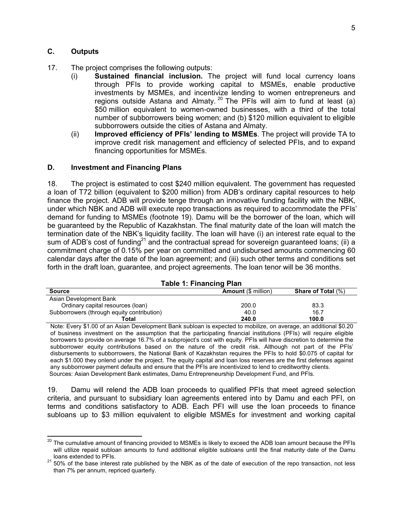#### **C. Outputs**

- 17. The project comprises the following outputs:
	- (i) **Sustained financial inclusion.** The project will fund local currency loans through PFIs to provide working capital to MSMEs, enable productive investments by MSMEs, and incentivize lending to women entrepreneurs and regions outside Astana and Almaty.<sup>20</sup> The PFIs will aim to fund at least (a) \$50 million equivalent to women-owned businesses, with a third of the total number of subborrowers being women; and (b) \$120 million equivalent to eligible subborrowers outside the cities of Astana and Almaty.
	- (ii) **Improved efficiency of PFIs' lending to MSMEs**. The project will provide TA to improve credit risk management and efficiency of selected PFIs, and to expand financing opportunities for MSMEs.

#### **D. Investment and Financing Plans**

18. The project is estimated to cost \$240 million equivalent. The government has requested a loan of T72 billion (equivalent to \$200 million) from ADB's ordinary capital resources to help finance the project. ADB will provide tenge through an innovative funding facility with the NBK, under which NBK and ADB will execute repo transactions as required to accommodate the PFIs' demand for funding to MSMEs (footnote 19). Damu will be the borrower of the loan, which will be guaranteed by the Republic of Kazakhstan. The final maturity date of the loan will match the termination date of the NBK's liquidity facility. The loan will have (i) an interest rate equal to the sum of ADB's cost of funding<sup>21</sup> and the contractual spread for sovereign guaranteed loans; (ii) a commitment charge of 0.15% per year on committed and undisbursed amounts commencing 60 calendar days after the date of the loan agreement; and (iii) such other terms and conditions set forth in the draft loan, guarantee, and project agreements. The loan tenor will be 36 months.

| <b>Table 1: Financing Plan</b>                                           |       |      |  |  |
|--------------------------------------------------------------------------|-------|------|--|--|
| <b>Amount (\$ million)</b><br><b>Share of Total (%)</b><br><b>Source</b> |       |      |  |  |
| Asian Development Bank                                                   |       |      |  |  |
| Ordinary capital resources (loan)                                        | 200.0 | 83.3 |  |  |
| Subborrowers (through equity contribution)                               | 40.0  | 16.7 |  |  |
| 240.0<br>100.0<br>Total                                                  |       |      |  |  |

Note: Every \$1.00 of an Asian Development Bank subloan is expected to mobilize, on average, an additional \$0.20 of business investment on the assumption that the participating financial institutions (PFIs) will require eligible borrowers to provide on average 16.7% of a subproject's cost with equity. PFIs will have discretion to determine the subborrower equity contributions based on the nature of the credit risk. Although not part of the PFIs' disbursements to subborrowers, the National Bank of Kazakhstan requires the PFIs to hold \$0.075 of capital for each \$1.000 they onlend under the project. The equity capital and loan loss reserves are the first defenses against any subborrower payment defaults and ensure that the PFIs are incentivized to lend to creditworthy clients. Sources: Asian Development Bank estimates, Damu Entrepreneurship Development Fund, and PFIs.

19. Damu will relend the ADB loan proceeds to qualified PFIs that meet agreed selection criteria, and pursuant to subsidiary loan agreements entered into by Damu and each PFI, on terms and conditions satisfactory to ADB. Each PFI will use the loan proceeds to finance subloans up to \$3 million equivalent to eligible MSMEs for investment and working capital

 $\overline{a}$  $^{20}$  The cumulative amount of financing provided to MSMEs is likely to exceed the ADB loan amount because the PFIs will utilize repaid subloan amounts to fund additional eligible subloans until the final maturity date of the Damu loans extended to PFIs.

<sup>&</sup>lt;sup>21</sup> 50% of the base interest rate published by the NBK as of the date of execution of the repo transaction, not less than 7% per annum, repriced quarterly.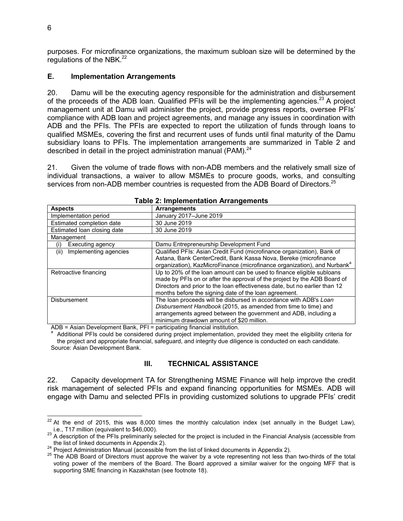purposes. For microfinance organizations, the maximum subloan size will be determined by the regulations of the NBK. $^{22}$ 

#### **E. Implementation Arrangements**

20. Damu will be the executing agency responsible for the administration and disbursement of the proceeds of the ADB loan. Qualified PFIs will be the implementing agencies.<sup>23</sup> A project management unit at Damu will administer the project, provide progress reports, oversee PFIs' compliance with ADB loan and project agreements, and manage any issues in coordination with ADB and the PFIs. The PFIs are expected to report the utilization of funds through loans to qualified MSMEs, covering the first and recurrent uses of funds until final maturity of the Damu subsidiary loans to PFIs. The implementation arrangements are summarized in Table 2 and described in detail in the project administration manual (PAM).<sup>24</sup>

21. Given the volume of trade flows with non-ADB members and the relatively small size of individual transactions, a waiver to allow MSMEs to procure goods, works, and consulting services from non-ADB member countries is requested from the ADB Board of Directors.<sup>25</sup>

| $14000$ E. Impromotivation Futurigonionto |                                                                                      |  |  |
|-------------------------------------------|--------------------------------------------------------------------------------------|--|--|
| <b>Aspects</b>                            | <b>Arrangements</b>                                                                  |  |  |
| Implementation period                     | January 2017-June 2019                                                               |  |  |
| Estimated completion date                 | 30 June 2019                                                                         |  |  |
| Estimated loan closing date               | 30 June 2019                                                                         |  |  |
| Management                                |                                                                                      |  |  |
| Executing agency<br>(i)                   | Damu Entrepreneurship Development Fund                                               |  |  |
| Implementing agencies<br>(ii)             | Qualified PFIs: Asian Credit Fund (microfinance organization), Bank of               |  |  |
|                                           | Astana, Bank CenterCredit, Bank Kassa Nova, Bereke (microfinance                     |  |  |
|                                           | organization), KazMicroFinance (microfinance organization), and Nurbank <sup>a</sup> |  |  |
| Retroactive financing                     | Up to 20% of the loan amount can be used to finance eligible subloans                |  |  |
|                                           | made by PFIs on or after the approval of the project by the ADB Board of             |  |  |
|                                           | Directors and prior to the loan effectiveness date, but no earlier than 12           |  |  |
|                                           | months before the signing date of the loan agreement.                                |  |  |
| <b>Disbursement</b>                       | The loan proceeds will be disbursed in accordance with ADB's Loan                    |  |  |
|                                           | Disbursement Handbook (2015, as amended from time to time) and                       |  |  |
|                                           | arrangements agreed between the government and ADB, including a                      |  |  |
|                                           | minimum drawdown amount of \$20 million.                                             |  |  |

#### **Table 2: Implementation Arrangements**

ADB = Asian Development Bank, PFI = participating financial institution.

a Additional PFIs could be considered during project implementation, provided they meet the eligibility criteria for the project and appropriate financial, safeguard, and integrity due diligence is conducted on each candidate. Source: Asian Development Bank.

#### **III. TECHNICAL ASSISTANCE**

22. Capacity development TA for Strengthening MSME Finance will help improve the credit risk management of selected PFIs and expand financing opportunities for MSMEs. ADB will engage with Damu and selected PFIs in providing customized solutions to upgrade PFIs' credit

 $\overline{a}$  $^{22}$  At the end of 2015, this was 8,000 times the monthly calculation index (set annually in the Budget Law), i.e., T17 million (equivalent to \$46,000).

 $^{23}$  A description of the PFIs preliminarily selected for the project is included in the Financial Analysis (accessible from the list of linked documents in Appendix 2).

 $\frac{24}{1}$  Project Administration Manual (accessible from the list of linked documents in Appendix 2).

<sup>&</sup>lt;sup>25</sup> The ADB Board of Directors must approve the waiver by a vote representing not less than two-thirds of the total voting power of the members of the Board. The Board approved a similar waiver for the ongoing MFF that is supporting SME financing in Kazakhstan (see footnote 18).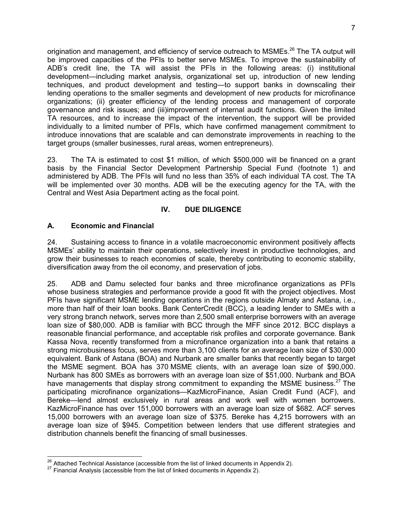origination and management, and efficiency of service outreach to MSMEs.<sup>26</sup> The TA output will be improved capacities of the PFIs to better serve MSMEs. To improve the sustainability of ADB's credit line, the TA will assist the PFIs in the following areas: (i) institutional development—including market analysis, organizational set up, introduction of new lending techniques, and product development and testing—to support banks in downscaling their lending operations to the smaller segments and development of new products for microfinance organizations; (ii) greater efficiency of the lending process and management of corporate governance and risk issues; and (iii)improvement of internal audit functions. Given the limited TA resources, and to increase the impact of the intervention, the support will be provided individually to a limited number of PFIs, which have confirmed management commitment to introduce innovations that are scalable and can demonstrate improvements in reaching to the target groups (smaller businesses, rural areas, women entrepreneurs).

23. The TA is estimated to cost \$1 million, of which \$500,000 will be financed on a grant basis by the Financial Sector Development Partnership Special Fund (footnote 1) and administered by ADB. The PFIs will fund no less than 35% of each individual TA cost. The TA will be implemented over 30 months. ADB will be the executing agency for the TA, with the Central and West Asia Department acting as the focal point.

# **IV. DUE DILIGENCE**

## **A. Economic and Financial**

 $\overline{a}$ 

24. Sustaining access to finance in a volatile macroeconomic environment positively affects MSMEs' ability to maintain their operations, selectively invest in productive technologies, and grow their businesses to reach economies of scale, thereby contributing to economic stability, diversification away from the oil economy, and preservation of jobs.

25. ADB and Damu selected four banks and three microfinance organizations as PFIs whose business strategies and performance provide a good fit with the project objectives. Most PFIs have significant MSME lending operations in the regions outside Almaty and Astana, i.e., more than half of their loan books. Bank CenterCredit (BCC), a leading lender to SMEs with a very strong branch network, serves more than 2,500 small enterprise borrowers with an average loan size of \$80,000. ADB is familiar with BCC through the MFF since 2012. BCC displays a reasonable financial performance, and acceptable risk profiles and corporate governance. Bank Kassa Nova, recently transformed from a microfinance organization into a bank that retains a strong microbusiness focus, serves more than 3,100 clients for an average loan size of \$30,000 equivalent. Bank of Astana (BOA) and Nurbank are smaller banks that recently began to target the MSME segment. BOA has 370 MSME clients, with an average loan size of \$90,000. Nurbank has 800 SMEs as borrowers with an average loan size of \$51,000. Nurbank and BOA have managements that display strong commitment to expanding the MSME business.<sup>27</sup> The participating microfinance organizations—KazMicroFinance, Asian Credit Fund (ACF), and Bereke—lend almost exclusively in rural areas and work well with women borrowers. KazMicroFinance has over 151,000 borrowers with an average loan size of \$682. ACF serves 15,000 borrowers with an average loan size of \$375. Bereke has 4,215 borrowers with an average loan size of \$945. Competition between lenders that use different strategies and distribution channels benefit the financing of small businesses.

 $26$  Attached Technical Assistance (accessible from the list of linked documents in Appendix 2).

<sup>&</sup>lt;sup>27</sup> Financial Analysis (accessible from the list of linked documents in Appendix 2).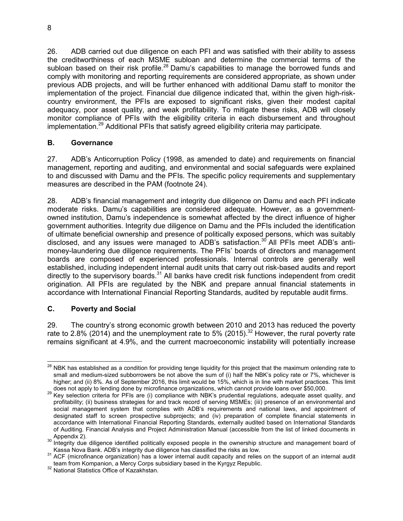26. ADB carried out due diligence on each PFI and was satisfied with their ability to assess the creditworthiness of each MSME subloan and determine the commercial terms of the subloan based on their risk profile.<sup>28</sup> Damu's capabilities to manage the borrowed funds and comply with monitoring and reporting requirements are considered appropriate, as shown under previous ADB projects, and will be further enhanced with additional Damu staff to monitor the implementation of the project. Financial due diligence indicated that, within the given high-riskcountry environment, the PFIs are exposed to significant risks, given their modest capital adequacy, poor asset quality, and weak profitability. To mitigate these risks, ADB will closely monitor compliance of PFIs with the eligibility criteria in each disbursement and throughout implementation.<sup>29</sup> Additional PFIs that satisfy agreed eligibility criteria may participate.

## **B. Governance**

27. ADB's Anticorruption Policy (1998, as amended to date) and requirements on financial management, reporting and auditing, and environmental and social safeguards were explained to and discussed with Damu and the PFIs. The specific policy requirements and supplementary measures are described in the PAM (footnote 24).

28. ADB's financial management and integrity due diligence on Damu and each PFI indicate moderate risks. Damu's capabilities are considered adequate. However, as a governmentowned institution, Damu's independence is somewhat affected by the direct influence of higher government authorities. Integrity due diligence on Damu and the PFIs included the identification of ultimate beneficial ownership and presence of politically exposed persons, which was suitably disclosed, and any issues were managed to ADB's satisfaction.<sup>30</sup> All PFIs meet ADB's antimoney-laundering due diligence requirements. The PFIs' boards of directors and management boards are composed of experienced professionals. Internal controls are generally well established, including independent internal audit units that carry out risk-based audits and report directly to the supervisory boards. $31$  All banks have credit risk functions independent from credit origination. All PFIs are regulated by the NBK and prepare annual financial statements in accordance with International Financial Reporting Standards, audited by reputable audit firms.

# **C. Poverty and Social**

29. The country's strong economic growth between 2010 and 2013 has reduced the poverty rate to 2.8% (2014) and the unemployment rate to 5% (2015).<sup>32</sup> However, the rural poverty rate remains significant at 4.9%, and the current macroeconomic instability will potentially increase

 $\overline{a}$  $^{28}$  NBK has established as a condition for providing tenge liquidity for this project that the maximum onlending rate to small and medium-sized subborrowers be not above the sum of (i) half the NBK's policy rate or 7%, whichever is higher; and (ii) 8%. As of September 2016, this limit would be 15%, which is in line with market practices. This limit does not apply to lending done by microfinance organizations, which cannot provide loans over \$50,000.

<sup>&</sup>lt;sup>29</sup> Key selection criteria for PFIs are (i) compliance with NBK's prudential regulations, adequate asset quality, and profitability; (ii) business strategies for and track record of serving MSMEs; (iii) presence of an environmental and social management system that complies with ADB's requirements and national laws, and appointment of designated staff to screen prospective subprojects; and (iv) preparation of complete financial statements in accordance with International Financial Reporting Standards, externally audited based on International Standards of Auditing. Financial Analysis and Project Administration Manual (accessible from the list of linked documents in Appendix 2).

<sup>&</sup>lt;sup>30</sup> Integrity due diligence identified politically exposed people in the ownership structure and management board of Kassa Nova Bank. ADB's integrity due diligence has classified the risks as low.

<sup>31</sup> ACF (microfinance organization) has a lower internal audit capacity and relies on the support of an internal audit team from Kompanion, a Mercy Corps subsidiary based in the Kyrgyz Republic.

<sup>&</sup>lt;sup>32</sup> National Statistics Office of Kazakhstan.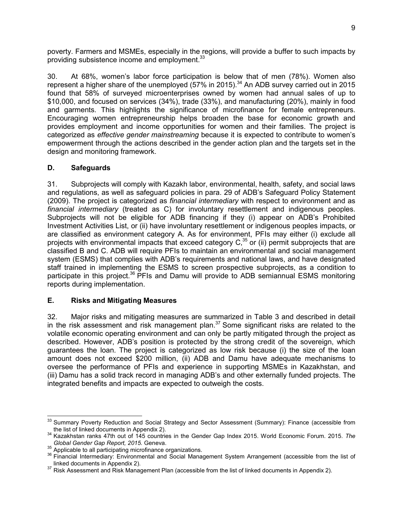poverty. Farmers and MSMEs, especially in the regions, will provide a buffer to such impacts by providing subsistence income and employment.<sup>33</sup>

30. At 68%, women's labor force participation is below that of men (78%). Women also represent a higher share of the unemployed (57% in 2015).<sup>34</sup> An ADB survey carried out in 2015 found that 58% of surveyed microenterprises owned by women had annual sales of up to \$10,000, and focused on services (34%), trade (33%), and manufacturing (20%), mainly in food and garments. This highlights the significance of microfinance for female entrepreneurs. Encouraging women entrepreneurship helps broaden the base for economic growth and provides employment and income opportunities for women and their families. The project is categorized as *effective gender mainstreaming* because it is expected to contribute to women's empowerment through the actions described in the gender action plan and the targets set in the design and monitoring framework.

# **D. Safeguards**

31. Subprojects will comply with Kazakh labor, environmental, health, safety, and social laws and regulations, as well as safeguard policies in para. 29 of ADB's Safeguard Policy Statement (2009). The project is categorized as *financial intermediary* with respect to environment and as *financial intermediary* (treated as C) for involuntary resettlement and indigenous peoples. Subprojects will not be eligible for ADB financing if they (i) appear on ADB's Prohibited Investment Activities List, or (ii) have involuntary resettlement or indigenous peoples impacts, or are classified as environment category A. As for environment, PFIs may either (i) exclude all projects with environmental impacts that exceed category C,<sup>35</sup> or (ii) permit subprojects that are classified B and C. ADB will require PFIs to maintain an environmental and social management system (ESMS) that complies with ADB's requirements and national laws, and have designated staff trained in implementing the ESMS to screen prospective subprojects, as a condition to participate in this project.<sup>36</sup> PFIs and Damu will provide to ADB semiannual ESMS monitoring reports during implementation.

# **E. Risks and Mitigating Measures**

32. Major risks and mitigating measures are summarized in Table 3 and described in detail In the risk assessment and risk management plan.<sup>37</sup> Some significant risks are related to the volatile economic operating environment and can only be partly mitigated through the project as described. However, ADB's position is protected by the strong credit of the sovereign, which guarantees the loan. The project is categorized as low risk because (i) the size of the loan amount does not exceed \$200 million, (ii) ADB and Damu have adequate mechanisms to oversee the performance of PFIs and experience in supporting MSMEs in Kazakhstan, and (iii) Damu has a solid track record in managing ADB's and other externally funded projects. The integrated benefits and impacts are expected to outweigh the costs.

 $\overline{a}$ <sup>33</sup> Summary Poverty Reduction and Social Strategy and Sector Assessment (Summary): Finance (accessible from the list of linked documents in Appendix 2).

<sup>34</sup> Kazakhstan ranks 47th out of 145 countries in the Gender Gap Index 2015. World Economic Forum. 2015. *The Global Gender Gap Report, 2015.* Geneva.

 $\frac{35}{2}$  Applicable to all participating microfinance organizations.

<sup>&</sup>lt;sup>36</sup> Financial Intermediary: Environmental and Social Management System Arrangement (accessible from the list of linked documents in Appendix 2).

<sup>&</sup>lt;sup>37</sup> Risk Assessment and Risk Management Plan (accessible from the list of linked documents in Appendix 2).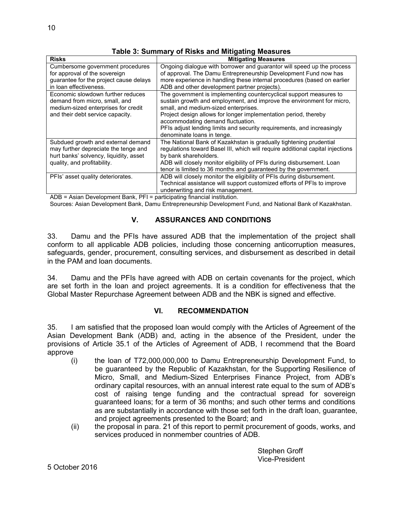| <b>Risks</b>                                  | <b>Mitigating Measures</b>                                                     |
|-----------------------------------------------|--------------------------------------------------------------------------------|
| Cumbersome government procedures              | Ongoing dialogue with borrower and guarantor will speed up the process         |
| for approval of the sovereign                 | of approval. The Damu Entrepreneurship Development Fund now has                |
| guarantee for the project cause delays        | more experience in handling these internal procedures (based on earlier        |
| in loan effectiveness.                        | ADB and other development partner projects).                                   |
| Economic slowdown further reduces             | The government is implementing countercyclical support measures to             |
| demand from micro, small, and                 | sustain growth and employment, and improve the environment for micro,          |
| medium-sized enterprises for credit           | small, and medium-sized enterprises.                                           |
| and their debt service capacity.              | Project design allows for longer implementation period, thereby                |
|                                               | accommodating demand fluctuation.                                              |
|                                               | PFIs adjust lending limits and security requirements, and increasingly         |
|                                               | denominate loans in tenge.                                                     |
| Subdued growth and external demand            | The National Bank of Kazakhstan is gradually tightening prudential             |
| may further depreciate the tenge and          | regulations toward Basel III, which will require additional capital injections |
| hurt banks' solvency, liquidity, asset        | by bank shareholders.                                                          |
| quality, and profitability.                   | ADB will closely monitor eligibility of PFIs during disbursement. Loan         |
|                                               | tenor is limited to 36 months and guaranteed by the government.                |
| PFIs' asset quality deteriorates.             | ADB will closely monitor the eligibility of PFIs during disbursement.          |
|                                               | Technical assistance will support customized efforts of PFIs to improve        |
|                                               | underwriting and risk management.                                              |
| $\mathbf{r}$<br>$- -$<br>$\sim$ $\sim$ $\sim$ |                                                                                |

**Table 3: Summary of Risks and Mitigating Measures**

ADB = Asian Development Bank, PFI = participating financial institution.

Sources: Asian Development Bank, Damu Entrepreneurship Development Fund, and National Bank of Kazakhstan.

#### **V. ASSURANCES AND CONDITIONS**

33. Damu and the PFIs have assured ADB that the implementation of the project shall conform to all applicable ADB policies, including those concerning anticorruption measures, safeguards, gender, procurement, consulting services, and disbursement as described in detail in the PAM and loan documents.

34. Damu and the PFIs have agreed with ADB on certain covenants for the project, which are set forth in the loan and project agreements. It is a condition for effectiveness that the Global Master Repurchase Agreement between ADB and the NBK is signed and effective.

#### **VI. RECOMMENDATION**

35. I am satisfied that the proposed loan would comply with the Articles of Agreement of the Asian Development Bank (ADB) and, acting in the absence of the President, under the provisions of Article 35.1 of the Articles of Agreement of ADB, I recommend that the Board approve

- (i) the loan of T72,000,000,000 to Damu Entrepreneurship Development Fund, to be guaranteed by the Republic of Kazakhstan, for the Supporting Resilience of Micro, Small, and Medium-Sized Enterprises Finance Project, from ADB's ordinary capital resources, with an annual interest rate equal to the sum of ADB's cost of raising tenge funding and the contractual spread for sovereign guaranteed loans; for a term of 36 months; and such other terms and conditions as are substantially in accordance with those set forth in the draft loan, guarantee, and project agreements presented to the Board; and
- (ii) the proposal in para. 21 of this report to permit procurement of goods, works, and services produced in nonmember countries of ADB.

Stephen Groff Vice-President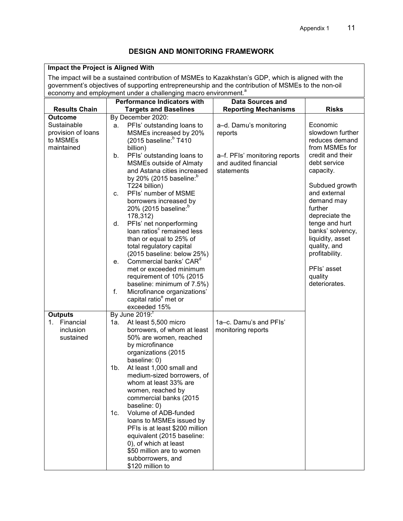# **DESIGN AND MONITORING FRAMEWORK**

| Impact the Project is Aligned With                                                                  |                                                                                                                                                                                   |                                                        |                                    |  |  |
|-----------------------------------------------------------------------------------------------------|-----------------------------------------------------------------------------------------------------------------------------------------------------------------------------------|--------------------------------------------------------|------------------------------------|--|--|
| The impact will be a sustained contribution of MSMEs to Kazakhstan's GDP, which is aligned with the |                                                                                                                                                                                   |                                                        |                                    |  |  |
|                                                                                                     | government's objectives of supporting entrepreneurship and the contribution of MSMEs to the non-oil<br>economy and employment under a challenging macro environment. <sup>a</sup> |                                                        |                                    |  |  |
|                                                                                                     | <b>Performance Indicators with</b>                                                                                                                                                | <b>Data Sources and</b>                                |                                    |  |  |
| <b>Results Chain</b>                                                                                | <b>Targets and Baselines</b>                                                                                                                                                      | <b>Reporting Mechanisms</b>                            | <b>Risks</b>                       |  |  |
| <b>Outcome</b>                                                                                      | By December 2020:                                                                                                                                                                 |                                                        |                                    |  |  |
| Sustainable                                                                                         | PFIs' outstanding loans to<br>а.                                                                                                                                                  | a-d. Damu's monitoring                                 | Economic                           |  |  |
| provision of loans                                                                                  | MSMEs increased by 20%                                                                                                                                                            | reports                                                | slowdown further                   |  |  |
| to MSMEs                                                                                            | (2015 baseline: 7410)                                                                                                                                                             |                                                        | reduces demand                     |  |  |
| maintained                                                                                          | billion)                                                                                                                                                                          |                                                        | from MSMEs for<br>credit and their |  |  |
|                                                                                                     | PFIs' outstanding loans to<br>b.<br><b>MSMEs outside of Almaty</b>                                                                                                                | a-f. PFIs' monitoring reports<br>and audited financial | debt service                       |  |  |
|                                                                                                     | and Astana cities increased                                                                                                                                                       | statements                                             | capacity.                          |  |  |
|                                                                                                     | by 20% (2015 baseline: $^{\rm b}$                                                                                                                                                 |                                                        |                                    |  |  |
|                                                                                                     | T224 billion)                                                                                                                                                                     |                                                        | Subdued growth                     |  |  |
|                                                                                                     | PFIs' number of MSME<br>C.                                                                                                                                                        |                                                        | and external                       |  |  |
|                                                                                                     | borrowers increased by<br>20% (2015 baseline: <sup>0</sup>                                                                                                                        |                                                        | demand may<br>further              |  |  |
|                                                                                                     | 178,312)                                                                                                                                                                          |                                                        | depreciate the                     |  |  |
|                                                                                                     | PFIs' net nonperforming<br>d.                                                                                                                                                     |                                                        | tenge and hurt                     |  |  |
|                                                                                                     | loan ratios <sup>c</sup> remained less                                                                                                                                            |                                                        | banks' solvency,                   |  |  |
|                                                                                                     | than or equal to 25% of                                                                                                                                                           |                                                        | liquidity, asset                   |  |  |
|                                                                                                     | total regulatory capital                                                                                                                                                          |                                                        | quality, and<br>profitability.     |  |  |
|                                                                                                     | (2015 baseline: below 25%)<br>Commercial banks' CAR <sup>d</sup><br>e.                                                                                                            |                                                        |                                    |  |  |
|                                                                                                     | met or exceeded minimum                                                                                                                                                           |                                                        | PFIs' asset                        |  |  |
|                                                                                                     | requirement of 10% (2015                                                                                                                                                          |                                                        | quality                            |  |  |
|                                                                                                     | baseline: minimum of 7.5%)                                                                                                                                                        |                                                        | deteriorates.                      |  |  |
|                                                                                                     | Microfinance organizations'<br>f.<br>capital ratio <sup>e</sup> met or                                                                                                            |                                                        |                                    |  |  |
|                                                                                                     | exceeded 15%                                                                                                                                                                      |                                                        |                                    |  |  |
| <b>Outputs</b>                                                                                      | By June 2019: <sup>1</sup>                                                                                                                                                        |                                                        |                                    |  |  |
| Financial<br>1 <sup>1</sup>                                                                         | At least 5,500 micro<br>1a.                                                                                                                                                       | 1a-c. Damu's and PFIs'                                 |                                    |  |  |
| inclusion                                                                                           | borrowers, of whom at least                                                                                                                                                       | monitoring reports                                     |                                    |  |  |
| sustained                                                                                           | 50% are women, reached                                                                                                                                                            |                                                        |                                    |  |  |
|                                                                                                     | by microfinance                                                                                                                                                                   |                                                        |                                    |  |  |
|                                                                                                     | organizations (2015<br>baseline: 0)                                                                                                                                               |                                                        |                                    |  |  |
|                                                                                                     | At least 1,000 small and<br>1 <sub>b</sub>                                                                                                                                        |                                                        |                                    |  |  |
|                                                                                                     | medium-sized borrowers, of                                                                                                                                                        |                                                        |                                    |  |  |
|                                                                                                     | whom at least 33% are                                                                                                                                                             |                                                        |                                    |  |  |
|                                                                                                     | women, reached by                                                                                                                                                                 |                                                        |                                    |  |  |
|                                                                                                     | commercial banks (2015<br>baseline: 0)                                                                                                                                            |                                                        |                                    |  |  |
|                                                                                                     | Volume of ADB-funded<br>1c.                                                                                                                                                       |                                                        |                                    |  |  |
|                                                                                                     | loans to MSMEs issued by                                                                                                                                                          |                                                        |                                    |  |  |
|                                                                                                     | PFIs is at least \$200 million                                                                                                                                                    |                                                        |                                    |  |  |
|                                                                                                     | equivalent (2015 baseline:                                                                                                                                                        |                                                        |                                    |  |  |
|                                                                                                     | 0), of which at least<br>\$50 million are to women                                                                                                                                |                                                        |                                    |  |  |
|                                                                                                     | subborrowers, and                                                                                                                                                                 |                                                        |                                    |  |  |
|                                                                                                     | \$120 million to                                                                                                                                                                  |                                                        |                                    |  |  |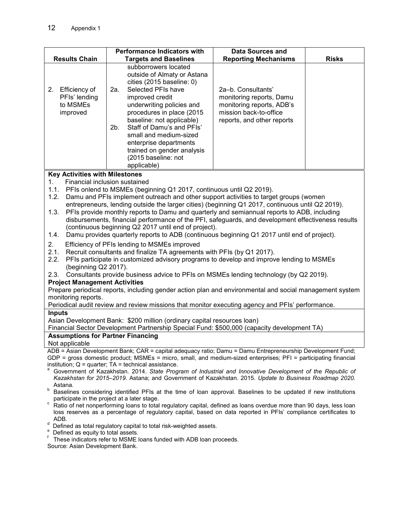|                                                                                                                                                                                                                                                                                                                                                                                                                                                                                                                                                                                                                                                                                                                                                                                                                                                                                                                                                                                                                                                                                                                                                                                                                                                                                                                                                                                                 | <b>Performance Indicators with</b>                                                                                                                                                                                                                                                                                                                                                                                                                                                                                    | <b>Data Sources and</b>                                                                                                             |              |  |
|-------------------------------------------------------------------------------------------------------------------------------------------------------------------------------------------------------------------------------------------------------------------------------------------------------------------------------------------------------------------------------------------------------------------------------------------------------------------------------------------------------------------------------------------------------------------------------------------------------------------------------------------------------------------------------------------------------------------------------------------------------------------------------------------------------------------------------------------------------------------------------------------------------------------------------------------------------------------------------------------------------------------------------------------------------------------------------------------------------------------------------------------------------------------------------------------------------------------------------------------------------------------------------------------------------------------------------------------------------------------------------------------------|-----------------------------------------------------------------------------------------------------------------------------------------------------------------------------------------------------------------------------------------------------------------------------------------------------------------------------------------------------------------------------------------------------------------------------------------------------------------------------------------------------------------------|-------------------------------------------------------------------------------------------------------------------------------------|--------------|--|
|                                                                                                                                                                                                                                                                                                                                                                                                                                                                                                                                                                                                                                                                                                                                                                                                                                                                                                                                                                                                                                                                                                                                                                                                                                                                                                                                                                                                 |                                                                                                                                                                                                                                                                                                                                                                                                                                                                                                                       |                                                                                                                                     |              |  |
| <b>Results Chain</b>                                                                                                                                                                                                                                                                                                                                                                                                                                                                                                                                                                                                                                                                                                                                                                                                                                                                                                                                                                                                                                                                                                                                                                                                                                                                                                                                                                            | <b>Targets and Baselines</b>                                                                                                                                                                                                                                                                                                                                                                                                                                                                                          | <b>Reporting Mechanisms</b>                                                                                                         | <b>Risks</b> |  |
| Efficiency of<br>2.<br>PFIs' lending<br>to MSMEs<br>improved                                                                                                                                                                                                                                                                                                                                                                                                                                                                                                                                                                                                                                                                                                                                                                                                                                                                                                                                                                                                                                                                                                                                                                                                                                                                                                                                    | subborrowers located<br>outside of Almaty or Astana<br>cities (2015 baseline: 0)<br>Selected PFIs have<br>2a.<br>improved credit<br>underwriting policies and<br>procedures in place (2015<br>baseline: not applicable)<br>Staff of Damu's and PFIs'<br>2b.<br>small and medium-sized<br>enterprise departments<br>trained on gender analysis<br>(2015 baseline: not                                                                                                                                                  | 2a-b. Consultants'<br>monitoring reports, Damu<br>monitoring reports, ADB's<br>mission back-to-office<br>reports, and other reports |              |  |
|                                                                                                                                                                                                                                                                                                                                                                                                                                                                                                                                                                                                                                                                                                                                                                                                                                                                                                                                                                                                                                                                                                                                                                                                                                                                                                                                                                                                 | applicable)                                                                                                                                                                                                                                                                                                                                                                                                                                                                                                           |                                                                                                                                     |              |  |
| <b>Key Activities with Milestones</b><br>1.<br>Financial inclusion sustained<br>1.1.<br>PFIs onlend to MSMEs (beginning Q1 2017, continuous until Q2 2019).<br>1.2.<br>Damu and PFIs implement outreach and other support activities to target groups (women<br>entrepreneurs, lending outside the larger cities) (beginning Q1 2017, continuous until Q2 2019).<br>PFIs provide monthly reports to Damu and quarterly and semiannual reports to ADB, including<br>1.3.<br>disbursements, financial performance of the PFI, safeguards, and development effectiveness results<br>(continuous beginning Q2 2017 until end of project).<br>Damu provides quarterly reports to ADB (continuous beginning Q1 2017 until end of project).<br>1.4.<br>2.<br>Efficiency of PFIs lending to MSMEs improved<br>2.1.<br>Recruit consultants and finalize TA agreements with PFIs (by Q1 2017).<br>PFIs participate in customized advisory programs to develop and improve lending to MSMEs<br>2.2.<br>(beginning Q2 2017).<br>Consultants provide business advice to PFIs on MSMEs lending technology (by Q2 2019).<br>2.3.<br><b>Project Management Activities</b><br>Prepare periodical reports, including gender action plan and environmental and social management system<br>monitoring reports.<br>Periodical audit review and review missions that monitor executing agency and PFIs' performance. |                                                                                                                                                                                                                                                                                                                                                                                                                                                                                                                       |                                                                                                                                     |              |  |
| <b>Inputs</b>                                                                                                                                                                                                                                                                                                                                                                                                                                                                                                                                                                                                                                                                                                                                                                                                                                                                                                                                                                                                                                                                                                                                                                                                                                                                                                                                                                                   |                                                                                                                                                                                                                                                                                                                                                                                                                                                                                                                       |                                                                                                                                     |              |  |
| Asian Development Bank: \$200 million (ordinary capital resources loan)                                                                                                                                                                                                                                                                                                                                                                                                                                                                                                                                                                                                                                                                                                                                                                                                                                                                                                                                                                                                                                                                                                                                                                                                                                                                                                                         |                                                                                                                                                                                                                                                                                                                                                                                                                                                                                                                       |                                                                                                                                     |              |  |
| Financial Sector Development Partnership Special Fund: \$500,000 (capacity development TA)                                                                                                                                                                                                                                                                                                                                                                                                                                                                                                                                                                                                                                                                                                                                                                                                                                                                                                                                                                                                                                                                                                                                                                                                                                                                                                      |                                                                                                                                                                                                                                                                                                                                                                                                                                                                                                                       |                                                                                                                                     |              |  |
| <b>Assumptions for Partner Financing</b>                                                                                                                                                                                                                                                                                                                                                                                                                                                                                                                                                                                                                                                                                                                                                                                                                                                                                                                                                                                                                                                                                                                                                                                                                                                                                                                                                        |                                                                                                                                                                                                                                                                                                                                                                                                                                                                                                                       |                                                                                                                                     |              |  |
| Not applicable<br>ADB = Asian Development Bank; CAR = capital adequacy ratio; Damu = Damu Entrepreneurship Development Fund;                                                                                                                                                                                                                                                                                                                                                                                                                                                                                                                                                                                                                                                                                                                                                                                                                                                                                                                                                                                                                                                                                                                                                                                                                                                                    |                                                                                                                                                                                                                                                                                                                                                                                                                                                                                                                       |                                                                                                                                     |              |  |
| Astana.<br>b<br>participate in the project at a later stage.<br>с                                                                                                                                                                                                                                                                                                                                                                                                                                                                                                                                                                                                                                                                                                                                                                                                                                                                                                                                                                                                                                                                                                                                                                                                                                                                                                                               | GDP = gross domestic product; MSMEs = micro, small, and medium-sized enterprises; PFI = participating financial<br>institution; $Q =$ quarter; $TA =$ technical assistance.<br>Government of Kazakhstan. 2014. State Program of Industrial and Innovative Development of the Republic of<br>Kazakhstan for 2015-2019. Astana; and Government of Kazakhstan. 2015. Update to Business Roadmap 2020.<br>Baselines considering identified PFIs at the time of loan approval. Baselines to be updated if new institutions |                                                                                                                                     |              |  |
|                                                                                                                                                                                                                                                                                                                                                                                                                                                                                                                                                                                                                                                                                                                                                                                                                                                                                                                                                                                                                                                                                                                                                                                                                                                                                                                                                                                                 | Ratio of net nonperforming loans to total regulatory capital, defined as loans overdue more than 90 days, less loan<br>loss reserves as a percentage of regulatory capital, based on data reported in PFIs' compliance certificates to                                                                                                                                                                                                                                                                                |                                                                                                                                     |              |  |

- ADB.
- 
- 
- <sup>d</sup> Defined as total regulatory capital to total risk-weighted assets.<br><sup>e</sup> Defined as equity to total assets.<br><sup>f</sup> These indicators refer to MSME loans funded with ADB loan proceeds.

Source: Asian Development Bank.